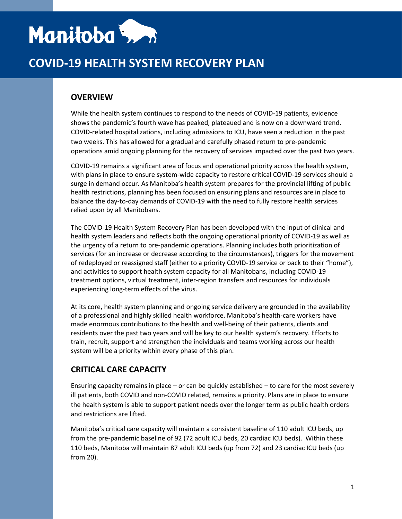# Manitoba 5, 1

## **COVID-19 HEALTH SYSTEM RECOVERY PLAN**

## **OVERVIEW**

While the health system continues to respond to the needs of COVID-19 patients, evidence shows the pandemic's fourth wave has peaked, plateaued and is now on a downward trend. COVID-related hospitalizations, including admissions to ICU, have seen a reduction in the past two weeks. This has allowed for a gradual and carefully phased return to pre-pandemic operations amid ongoing planning for the recovery of services impacted over the past two years.

COVID-19 remains a significant area of focus and operational priority across the health system, with plans in place to ensure system-wide capacity to restore critical COVID-19 services should a surge in demand occur. As Manitoba's health system prepares for the provincial lifting of public health restrictions, planning has been focused on ensuring plans and resources are in place to balance the day-to-day demands of COVID-19 with the need to fully restore health services relied upon by all Manitobans.

The COVID-19 Health System Recovery Plan has been developed with the input of clinical and health system leaders and reflects both the ongoing operational priority of COVID-19 as well as the urgency of a return to pre-pandemic operations. Planning includes both prioritization of services (for an increase or decrease according to the circumstances), triggers for the movement of redeployed or reassigned staff (either to a priority COVID-19 service or back to their "home"), and activities to support health system capacity for all Manitobans, including COVID-19 treatment options, virtual treatment, inter-region transfers and resources for individuals experiencing long-term effects of the virus.

At its core, health system planning and ongoing service delivery are grounded in the availability of a professional and highly skilled health workforce. Manitoba's health-care workers have made enormous contributions to the health and well-being of their patients, clients and residents over the past two years and will be key to our health system's recovery. Efforts to train, recruit, support and strengthen the individuals and teams working across our health system will be a priority within every phase of this plan.

### **CRITICAL CARE CAPACITY**

Ensuring capacity remains in place – or can be quickly established – to care for the most severely ill patients, both COVID and non-COVID related, remains a priority. Plans are in place to ensure the health system is able to support patient needs over the longer term as public health orders and restrictions are lifted.

Manitoba's critical care capacity will maintain a consistent baseline of 110 adult ICU beds, up from the pre-pandemic baseline of 92 (72 adult ICU beds, 20 cardiac ICU beds). Within these 110 beds, Manitoba will maintain 87 adult ICU beds (up from 72) and 23 cardiac ICU beds (up from 20).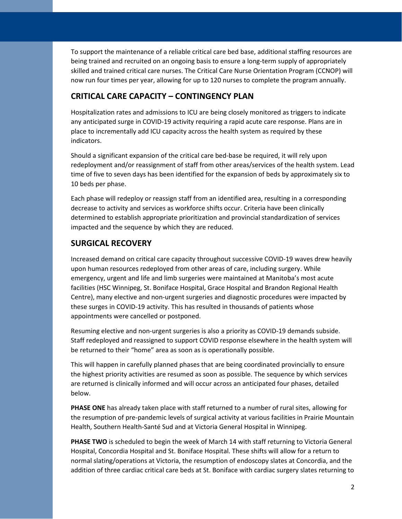To support the maintenance of a reliable critical care bed base, additional staffing resources are being trained and recruited on an ongoing basis to ensure a long-term supply of appropriately skilled and trained critical care nurses. The Critical Care Nurse Orientation Program (CCNOP) will now run four times per year, allowing for up to 120 nurses to complete the program annually.

#### **CRITICAL CARE CAPACITY – CONTINGENCY PLAN**

Hospitalization rates and admissions to ICU are being closely monitored as triggers to indicate any anticipated surge in COVID-19 activity requiring a rapid acute care response. Plans are in place to incrementally add ICU capacity across the health system as required by these indicators.

Should a significant expansion of the critical care bed-base be required, it will rely upon redeployment and/or reassignment of staff from other areas/services of the health system. Lead time of five to seven days has been identified for the expansion of beds by approximately six to 10 beds per phase.

Each phase will redeploy or reassign staff from an identified area, resulting in a corresponding decrease to activity and services as workforce shifts occur. Criteria have been clinically determined to establish appropriate prioritization and provincial standardization of services impacted and the sequence by which they are reduced.

#### **SURGICAL RECOVERY**

Increased demand on critical care capacity throughout successive COVID-19 waves drew heavily upon human resources redeployed from other areas of care, including surgery. While emergency, urgent and life and limb surgeries were maintained at Manitoba's most acute facilities (HSC Winnipeg, St. Boniface Hospital, Grace Hospital and Brandon Regional Health Centre), many elective and non-urgent surgeries and diagnostic procedures were impacted by these surges in COVID-19 activity. This has resulted in thousands of patients whose appointments were cancelled or postponed.

Resuming elective and non-urgent surgeries is also a priority as COVID-19 demands subside. Staff redeployed and reassigned to support COVID response elsewhere in the health system will be returned to their "home" area as soon as is operationally possible.

This will happen in carefully planned phases that are being coordinated provincially to ensure the highest priority activities are resumed as soon as possible. The sequence by which services are returned is clinically informed and will occur across an anticipated four phases, detailed below.

**PHASE ONE** has already taken place with staff returned to a number of rural sites, allowing for the resumption of pre-pandemic levels of surgical activity at various facilities in Prairie Mountain Health, Southern Health-Santé Sud and at Victoria General Hospital in Winnipeg.

**PHASE TWO** is scheduled to begin the week of March 14 with staff returning to Victoria General Hospital, Concordia Hospital and St. Boniface Hospital. These shifts will allow for a return to normal slating/operations at Victoria, the resumption of endoscopy slates at Concordia, and the addition of three cardiac critical care beds at St. Boniface with cardiac surgery slates returning to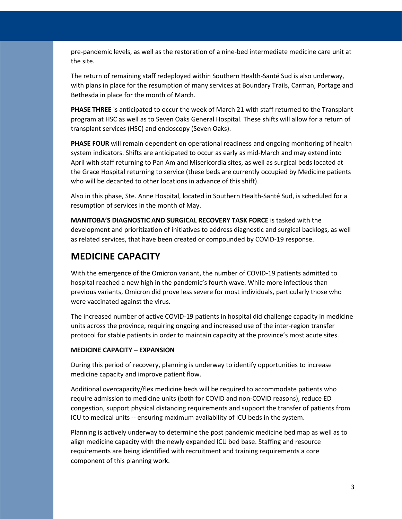pre-pandemic levels, as well as the restoration of a nine-bed intermediate medicine care unit at the site.

The return of remaining staff redeployed within Southern Health-Santé Sud is also underway, with plans in place for the resumption of many services at Boundary Trails, Carman, Portage and Bethesda in place for the month of March.

**PHASE THREE** is anticipated to occur the week of March 21 with staff returned to the Transplant program at HSC as well as to Seven Oaks General Hospital. These shifts will allow for a return of transplant services (HSC) and endoscopy (Seven Oaks).

**PHASE FOUR** will remain dependent on operational readiness and ongoing monitoring of health system indicators. Shifts are anticipated to occur as early as mid-March and may extend into April with staff returning to Pan Am and Misericordia sites, as well as surgical beds located at the Grace Hospital returning to service (these beds are currently occupied by Medicine patients who will be decanted to other locations in advance of this shift).

Also in this phase, Ste. Anne Hospital, located in Southern Health-Santé Sud, is scheduled for a resumption of services in the month of May.

**MANITOBA'S DIAGNOSTIC AND SURGICAL RECOVERY TASK FORCE** is tasked with the development and prioritization of initiatives to address diagnostic and surgical backlogs, as well as related services, that have been created or compounded by COVID-19 response.

## **MEDICINE CAPACITY**

With the emergence of the Omicron variant, the number of COVID-19 patients admitted to hospital reached a new high in the pandemic's fourth wave. While more infectious than previous variants, Omicron did prove less severe for most individuals, particularly those who were vaccinated against the virus.

The increased number of active COVID-19 patients in hospital did challenge capacity in medicine units across the province, requiring ongoing and increased use of the inter-region transfer protocol for stable patients in order to maintain capacity at the province's most acute sites.

#### **MEDICINE CAPACITY – EXPANSION**

During this period of recovery, planning is underway to identify opportunities to increase medicine capacity and improve patient flow.

Additional overcapacity/flex medicine beds will be required to accommodate patients who require admission to medicine units (both for COVID and non-COVID reasons), reduce ED congestion, support physical distancing requirements and support the transfer of patients from ICU to medical units -- ensuring maximum availability of ICU beds in the system.

Planning is actively underway to determine the post pandemic medicine bed map as well as to align medicine capacity with the newly expanded ICU bed base. Staffing and resource requirements are being identified with recruitment and training requirements a core component of this planning work.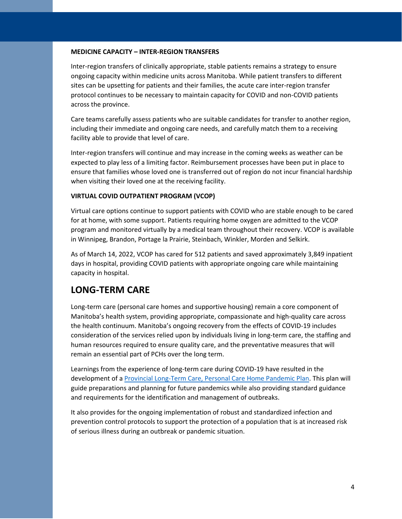#### **MEDICINE CAPACITY – INTER-REGION TRANSFERS**

Inter-region transfers of clinically appropriate, stable patients remains a strategy to ensure ongoing capacity within medicine units across Manitoba. While patient transfers to different sites can be upsetting for patients and their families, the acute care inter-region transfer protocol continues to be necessary to maintain capacity for COVID and non-COVID patients across the province.

Care teams carefully assess patients who are suitable candidates for transfer to another region, including their immediate and ongoing care needs, and carefully match them to a receiving facility able to provide that level of care.

Inter-region transfers will continue and may increase in the coming weeks as weather can be expected to play less of a limiting factor. Reimbursement processes have been put in place to ensure that families whose loved one is transferred out of region do not incur financial hardship when visiting their loved one at the receiving facility.

#### **VIRTUAL COVID OUTPATIENT PROGRAM (VCOP)**

Virtual care options continue to support patients with COVID who are stable enough to be cared for at home, with some support. Patients requiring home oxygen are admitted to the VCOP program and monitored virtually by a medical team throughout their recovery. VCOP is available in Winnipeg, Brandon, Portage la Prairie, Steinbach, Winkler, Morden and Selkirk.

As of March 14, 2022, VCOP has cared for 512 patients and saved approximately 3,849 inpatient days in hospital, providing COVID patients with appropriate ongoing care while maintaining capacity in hospital.

## **LONG-TERM CARE**

Long-term care (personal care homes and supportive housing) remain a core component of Manitoba's health system, providing appropriate, compassionate and high-quality care across the health continuum. Manitoba's ongoing recovery from the effects of COVID-19 includes consideration of the services relied upon by individuals living in long-term care, the staffing and human resources required to ensure quality care, and the preventative measures that will remain an essential part of PCHs over the long term.

Learnings from the experience of long-term care during COVID-19 have resulted in the development of [a Provincial Long-Term Care, Personal Care Home Pandemic Plan.](https://sharedhealthmb.ca/files/provincial-ltc-pandemic-plan.pdf) This plan will guide preparations and planning for future pandemics while also providing standard guidance and requirements for the identification and management of outbreaks.

It also provides for the ongoing implementation of robust and standardized infection and prevention control protocols to support the protection of a population that is at increased risk of serious illness during an outbreak or pandemic situation.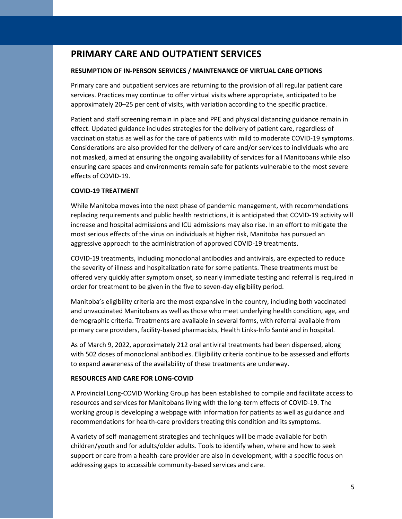## **PRIMARY CARE AND OUTPATIENT SERVICES**

#### **RESUMPTION OF IN-PERSON SERVICES / MAINTENANCE OF VIRTUAL CARE OPTIONS**

Primary care and outpatient services are returning to the provision of all regular patient care services. Practices may continue to offer virtual visits where appropriate, anticipated to be approximately 20–25 per cent of visits, with variation according to the specific practice.

Patient and staff screening remain in place and PPE and physical distancing guidance remain in effect. Updated guidance includes strategies for the delivery of patient care, regardless of vaccination status as well as for the care of patients with mild to moderate COVID-19 symptoms. Considerations are also provided for the delivery of care and/or services to individuals who are not masked, aimed at ensuring the ongoing availability of services for all Manitobans while also ensuring care spaces and environments remain safe for patients vulnerable to the most severe effects of COVID-19.

#### **COVID-19 TREATMENT**

While Manitoba moves into the next phase of pandemic management, with recommendations replacing requirements and public health restrictions, it is anticipated that COVID-19 activity will increase and hospital admissions and ICU admissions may also rise. In an effort to mitigate the most serious effects of the virus on individuals at higher risk, Manitoba has pursued an aggressive approach to the administration of approved COVID-19 treatments.

COVID-19 treatments, including monoclonal antibodies and antivirals, are expected to reduce the severity of illness and hospitalization rate for some patients. These treatments must be offered very quickly after symptom onset, so nearly immediate testing and referral is required in order for treatment to be given in the five to seven-day eligibility period.

Manitoba's eligibility criteria are the most expansive in the country, including both vaccinated and unvaccinated Manitobans as well as those who meet underlying health condition, age, and demographic criteria. Treatments are available in several forms, with referral available from primary care providers, facility-based pharmacists, Health Links-Info Santé and in hospital.

As of March 9, 2022, approximately 212 oral antiviral treatments had been dispensed, along with 502 doses of monoclonal antibodies. Eligibility criteria continue to be assessed and efforts to expand awareness of the availability of these treatments are underway.

#### **RESOURCES AND CARE FOR LONG-COVID**

A Provincial Long-COVID Working Group has been established to compile and facilitate access to resources and services for Manitobans living with the long-term effects of COVID-19. The working group is developing a webpage with information for patients as well as guidance and recommendations for health-care providers treating this condition and its symptoms.

A variety of self-management strategies and techniques will be made available for both children/youth and for adults/older adults. Tools to identify when, where and how to seek support or care from a health-care provider are also in development, with a specific focus on addressing gaps to accessible community-based services and care.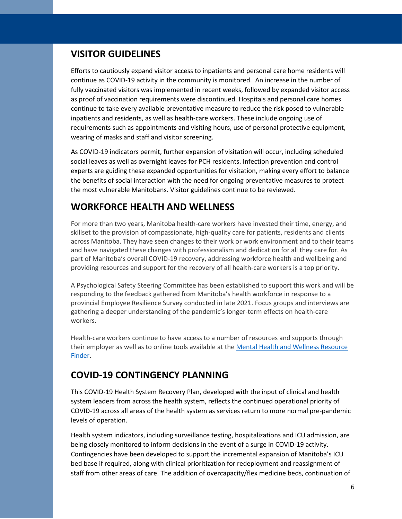## **VISITOR GUIDELINES**

Efforts to cautiously expand visitor access to inpatients and personal care home residents will continue as COVID-19 activity in the community is monitored. An increase in the number of fully vaccinated visitors was implemented in recent weeks, followed by expanded visitor access as proof of vaccination requirements were discontinued. Hospitals and personal care homes continue to take every available preventative measure to reduce the risk posed to vulnerable inpatients and residents, as well as health-care workers. These include ongoing use of requirements such as appointments and visiting hours, use of personal protective equipment, wearing of masks and staff and visitor screening.

As COVID-19 indicators permit, further expansion of visitation will occur, including scheduled social leaves as well as overnight leaves for PCH residents. Infection prevention and control experts are guiding these expanded opportunities for visitation, making every effort to balance the benefits of social interaction with the need for ongoing preventative measures to protect the most vulnerable Manitobans. Visitor guidelines continue to be reviewed.

## **WORKFORCE HEALTH AND WELLNESS**

For more than two years, Manitoba health-care workers have invested their time, energy, and skillset to the provision of compassionate, high-quality care for patients, residents and clients across Manitoba. They have seen changes to their work or work environment and to their teams and have navigated these changes with professionalism and dedication for all they care for. As part of Manitoba's overall COVID-19 recovery, addressing workforce health and wellbeing and providing resources and support for the recovery of all health-care workers is a top priority.

A Psychological Safety Steering Committee has been established to support this work and will be responding to the feedback gathered from Manitoba's health workforce in response to a provincial Employee Resilience Survey conducted in late 2021. Focus groups and interviews are gathering a deeper understanding of the pandemic's longer-term effects on health-care workers.

Health-care workers continue to have access to a number of resources and supports through their employer as well as to online tools available at the [Mental Health and Wellness Resource](https://sharedhealthmb.ca/services/mental-health/mental-health-and-wellness-resource-finder)  [Finder.](https://sharedhealthmb.ca/services/mental-health/mental-health-and-wellness-resource-finder)

## **COVID-19 CONTINGENCY PLANNING**

This COVID-19 Health System Recovery Plan, developed with the input of clinical and health system leaders from across the health system, reflects the continued operational priority of COVID-19 across all areas of the health system as services return to more normal pre-pandemic levels of operation.

Health system indicators, including surveillance testing, hospitalizations and ICU admission, are being closely monitored to inform decisions in the event of a surge in COVID-19 activity. Contingencies have been developed to support the incremental expansion of Manitoba's ICU bed base if required, along with clinical prioritization for redeployment and reassignment of staff from other areas of care. The addition of overcapacity/flex medicine beds, continuation of